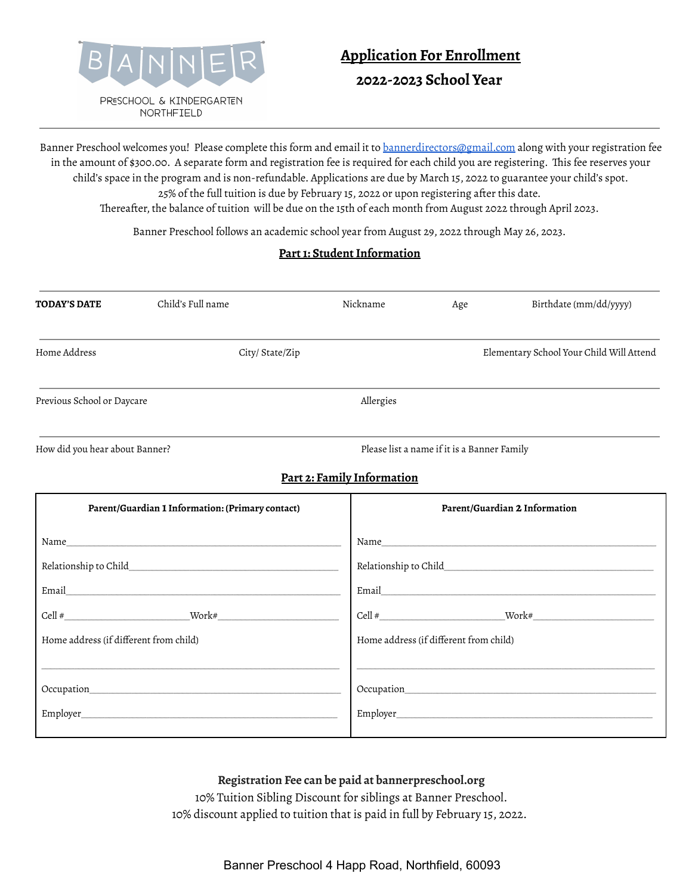

# **Application For Enrollment 2022-2023 School Year**

Banner Preschool welcomes you! Please complete this form and email it to [bannerdirectors@gmail.com](mailto:bannerdirectors@gmail.com) along with your registration fee in the amount of \$300.00. A separate form and registration fee is required for each child you are registering. This fee reserves your child's space in the program and is non-refundable. Applications are due by March 15, 2022 to guarantee your child's spot. 25% of the full tuition is due by February 15, 2022 or upon registering after this date. Thereafter, the balance of tuition will be due on the 15th of each month from August 2022 through April 2023.

Banner Preschool follows an academic school year from August 29, 2022 through May 26, 2023.

### **Part 1: Student Information**

| <b>TODAY'S DATE</b>                              | Child's Full name | Nickname                   | Age                                         | Birthdate (mm/dd/yyyy)                                                                                                                                                                                                         |  |
|--------------------------------------------------|-------------------|----------------------------|---------------------------------------------|--------------------------------------------------------------------------------------------------------------------------------------------------------------------------------------------------------------------------------|--|
| Home Address                                     | City/ State/Zip   |                            |                                             | Elementary School Your Child Will Attend                                                                                                                                                                                       |  |
| Previous School or Daycare                       |                   | Allergies                  |                                             |                                                                                                                                                                                                                                |  |
| How did you hear about Banner?                   |                   |                            | Please list a name if it is a Banner Family |                                                                                                                                                                                                                                |  |
|                                                  |                   | Part 2: Family Information |                                             |                                                                                                                                                                                                                                |  |
| Parent/Guardian 1 Information: (Primary contact) |                   |                            | Parent/Guardian 2 Information               |                                                                                                                                                                                                                                |  |
|                                                  |                   |                            |                                             | Name and the state of the state of the state of the state of the state of the state of the state of the state of the state of the state of the state of the state of the state of the state of the state of the state of the s |  |
|                                                  |                   |                            |                                             |                                                                                                                                                                                                                                |  |
|                                                  |                   |                            |                                             |                                                                                                                                                                                                                                |  |
|                                                  |                   |                            | $Cell$ #                                    |                                                                                                                                                                                                                                |  |
| Home address (if different from child)           |                   |                            | Home address (if different from child)      |                                                                                                                                                                                                                                |  |
|                                                  |                   |                            |                                             |                                                                                                                                                                                                                                |  |
|                                                  |                   |                            |                                             |                                                                                                                                                                                                                                |  |

### **Registration Fee can be paid at bannerpreschool.org**

10% Tuition Sibling Discount for siblings at Banner Preschool. 10% discount applied to tuition that is paid in full by February 15, 2022.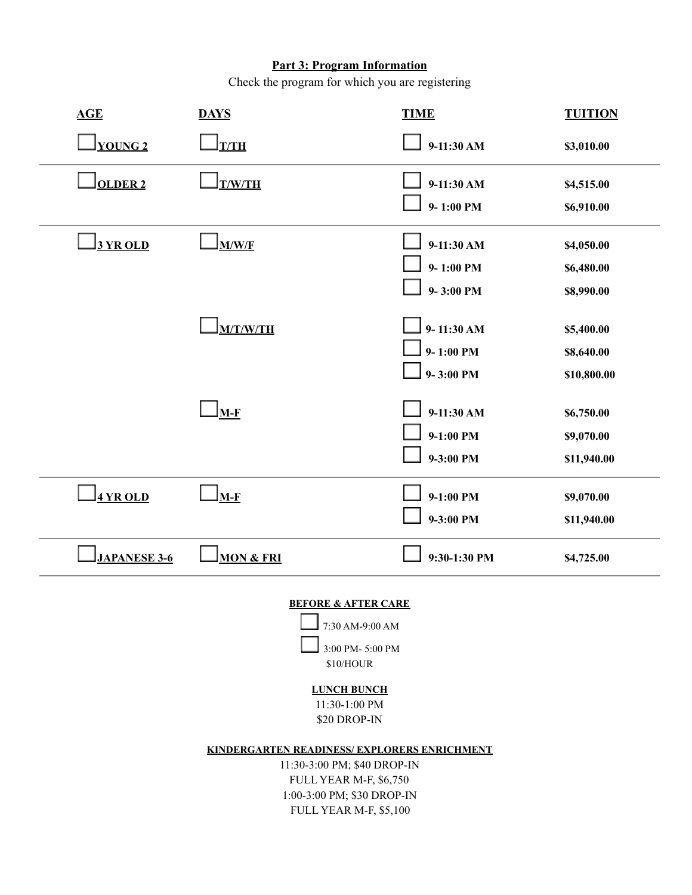# **Part 3: Program Information**

Check the program for which you are registering

| <b>YOUNG 2</b>                                                                                                                                               | $\bigsqcup_{\text{T/TH}}$                  | $9-11:30 AM$   |             |  |  |  |
|--------------------------------------------------------------------------------------------------------------------------------------------------------------|--------------------------------------------|----------------|-------------|--|--|--|
|                                                                                                                                                              |                                            |                | \$3,010.00  |  |  |  |
| <b>OLDER 2</b>                                                                                                                                               | <u>] T/W/TH</u>                            | $9-11:30 AM$   | \$4,515.00  |  |  |  |
|                                                                                                                                                              |                                            | $9 - 1:00$ PM  | \$6,910.00  |  |  |  |
| 3 YR OLD                                                                                                                                                     | M/W/F                                      | $9-11:30 AM$   | \$4,050.00  |  |  |  |
|                                                                                                                                                              |                                            | $9 - 1:00$ PM  | \$6,480.00  |  |  |  |
|                                                                                                                                                              |                                            | $9 - 3:00$ PM  | \$8,990.00  |  |  |  |
|                                                                                                                                                              | <b>M/T/W/TH</b>                            | $9 - 11:30 AM$ | \$5,400.00  |  |  |  |
|                                                                                                                                                              |                                            | $9 - 1:00$ PM  | \$8,640.00  |  |  |  |
|                                                                                                                                                              |                                            | $9 - 3:00$ PM  | \$10,800.00 |  |  |  |
|                                                                                                                                                              | $\bigsqcup_{\mathbf{M}\text{-}\mathbf{F}}$ | $9-11:30 AM$   | \$6,750.00  |  |  |  |
|                                                                                                                                                              |                                            | $9-1:00$ PM    | \$9,070.00  |  |  |  |
|                                                                                                                                                              |                                            | 9-3:00 PM      | \$11,940.00 |  |  |  |
| 4 YR OLD                                                                                                                                                     | <u>__ M-F</u>                              | $9-1:00$ PM    | \$9,070.00  |  |  |  |
|                                                                                                                                                              |                                            | 9-3:00 PM      | \$11,940.00 |  |  |  |
| <b>JAPANESE 3-6</b>                                                                                                                                          | <b>MON &amp; FRI</b>                       | 9:30-1:30 PM   | \$4,725.00  |  |  |  |
| <b>BEFORE &amp; AFTER CARE</b><br>7:30 AM-9:00 AM<br>3:00 PM-5:00 PM                                                                                         |                                            |                |             |  |  |  |
| \$10/HOUR                                                                                                                                                    |                                            |                |             |  |  |  |
| <b>LUNCH BUNCH</b><br>11:30-1:00 PM                                                                                                                          |                                            |                |             |  |  |  |
| \$20 DROP-IN                                                                                                                                                 |                                            |                |             |  |  |  |
| KINDERGARTEN READINESS/EXPLORERS ENRICHMENT<br>11:30-3:00 PM; \$40 DROP-IN<br>FULL YEAR M-F, \$6,750<br>1:00-3:00 PM; \$30 DROP-IN<br>FULL YEAR M-F, \$5,100 |                                            |                |             |  |  |  |